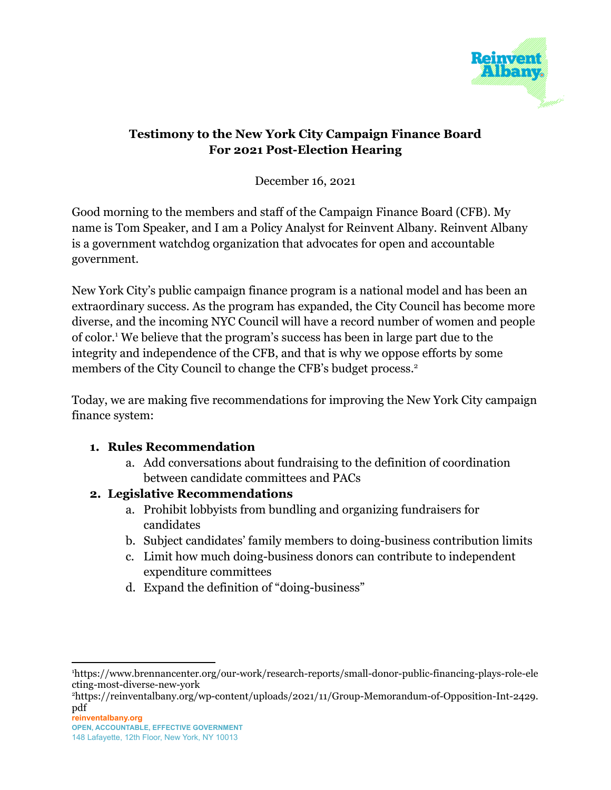

## **Testimony to the New York City Campaign Finance Board For 2021 Post-Election Hearing**

December 16, 2021

Good morning to the members and staff of the Campaign Finance Board (CFB). My name is Tom Speaker, and I am a Policy Analyst for Reinvent Albany. Reinvent Albany is a government watchdog organization that advocates for open and accountable government.

New York City's public campaign finance program is a national model and has been an extraordinary success. As the program has expanded, the City Council has become more diverse, and the incoming NYC Council will have a record number of women and people of color.<sup>1</sup> We believe that the program's success has been in large part due to the integrity and independence of the CFB, and that is why we oppose efforts by some members of the City Council to change the CFB's budget process.<sup>2</sup>

Today, we are making five recommendations for improving the New York City campaign finance system:

#### **1. Rules Recommendation**

a. Add conversations about fundraising to the definition of coordination between candidate committees and PACs

#### **2. Legislative Recommendations**

- a. Prohibit lobbyists from bundling and organizing fundraisers for candidates
- b. Subject candidates' family members to doing-business contribution limits
- c. Limit how much doing-business donors can contribute to independent expenditure committees
- d. Expand the definition of "doing-business"

<sup>1</sup>https://www.brennancenter.org/our-work/research-reports/small-donor-public-financing-plays-role-ele cting-most-diverse-new-york

<sup>2</sup>https://reinventalbany.org/wp-content/uploads/2021/11/Group-Memorandum-of-Opposition-Int-2429. pdf

**reinventalbany.org OPEN, ACCOUNTABLE, EFFECTIVE GOVERNMENT**

<sup>148</sup> Lafayette, 12th Floor, New York, NY 10013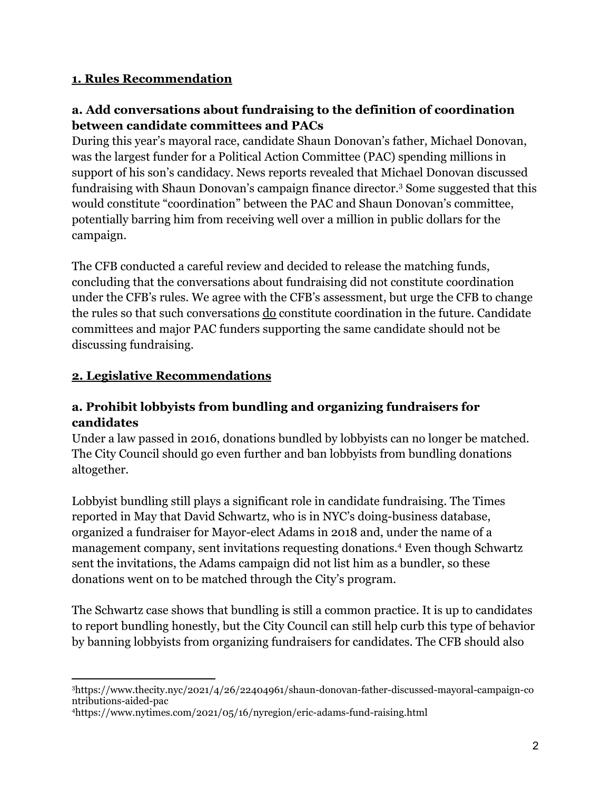#### **1. Rules Recommendation**

## **a. Add conversations about fundraising to the definition of coordination between candidate committees and PACs**

During this year's mayoral race, candidate Shaun Donovan's father, Michael Donovan, was the largest funder for a Political Action Committee (PAC) spending millions in support of his son's candidacy. News reports revealed that Michael Donovan discussed fundraising with Shaun Donovan's campaign finance director.<sup>3</sup> Some suggested that this would constitute "coordination" between the PAC and Shaun Donovan's committee, potentially barring him from receiving well over a million in public dollars for the campaign.

The CFB conducted a careful review and decided to release the matching funds, concluding that the conversations about fundraising did not constitute coordination under the CFB's rules. We agree with the CFB's assessment, but urge the CFB to change the rules so that such conversations do constitute coordination in the future. Candidate committees and major PAC funders supporting the same candidate should not be discussing fundraising.

## **2. Legislative Recommendations**

#### **a. Prohibit lobbyists from bundling and organizing fundraisers for candidates**

Under a law passed in 2016, donations bundled by lobbyists can no longer be matched. The City Council should go even further and ban lobbyists from bundling donations altogether.

Lobbyist bundling still plays a significant role in candidate fundraising. The Times reported in May that David Schwartz, who is in NYC's doing-business database, organized a fundraiser for Mayor-elect Adams in 2018 and, under the name of a management company, sent invitations requesting donations.<sup>4</sup> Even though Schwartz sent the invitations, the Adams campaign did not list him as a bundler, so these donations went on to be matched through the City's program.

The Schwartz case shows that bundling is still a common practice. It is up to candidates to report bundling honestly, but the City Council can still help curb this type of behavior by banning lobbyists from organizing fundraisers for candidates. The CFB should also

<sup>3</sup>https://www.thecity.nyc/2021/4/26/22404961/shaun-donovan-father-discussed-mayoral-campaign-co ntributions-aided-pac

<sup>4</sup>https://www.nytimes.com/2021/05/16/nyregion/eric-adams-fund-raising.html